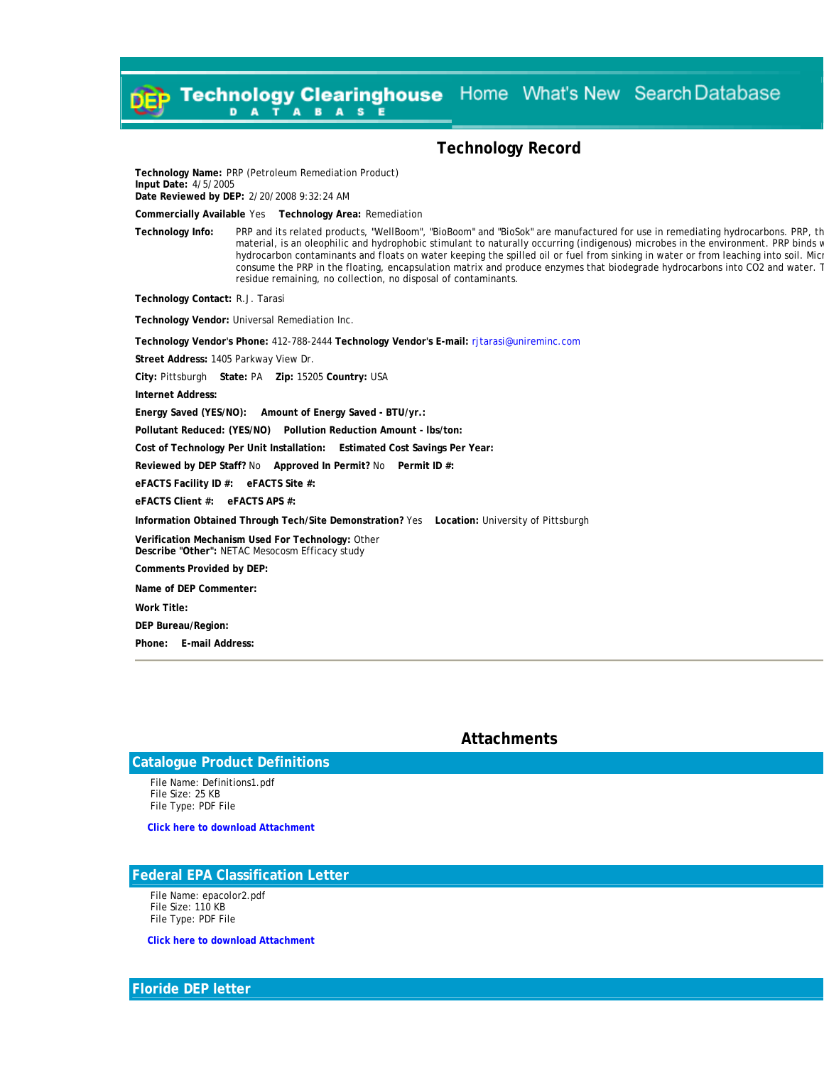Home What's New Search Database **Technology Clearinghouse**  $\mathbf{A}$  $\mathbf{A}$ D **B A S** Е

## **Technology Record**

**Technology Name:** PRP (Petroleum Remediation Product) **Input Date:** 4/5/2005 **Date Reviewed by DEP:** 2/20/2008 9:32:24 AM

**Commercially Available** Yes **Technology Area:** Remediation

**Technology Info:** PRP and its related products, "WellBoom", "BioBoom" and "BioSok" are manufactured for use in remediating hydrocarbons. PRP, th material, is an oleophilic and hydrophobic stimulant to naturally occurring (indigenous) microbes in the environment. PRP binds w hydrocarbon contaminants and floats on water keeping the spilled oil or fuel from sinking in water or from leaching into soil. Mic consume the PRP in the floating, encapsulation matrix and produce enzymes that biodegrade hydrocarbons into CO2 and water. T residue remaining, no collection, no disposal of contaminants.

**Technology Contact:** R.J. Tarasi

**Technology Vendor:** Universal Remediation Inc.

**Technology Vendor's Phone:** 412-788-2444 **Technology Vendor's E-mail:** [rjtarasi@unireminc.com](mailto:rjtarasi@unireminc.com)

**Street Address:** 1405 Parkway View Dr.

**City:** Pittsburgh **State:** PA **Zip:** 15205 **Country:** USA

**Internet Address:**

**Energy Saved (YES/NO): Amount of Energy Saved - BTU/yr.:**

**Pollutant Reduced: (YES/NO) Pollution Reduction Amount - lbs/ton:**

**Cost of Technology Per Unit Installation: Estimated Cost Savings Per Year:**

**Reviewed by DEP Staff?** No **Approved In Permit?** No **Permit ID #:**

**eFACTS Facility ID #: eFACTS Site #:**

**eFACTS Client #: eFACTS APS #:**

**Information Obtained Through Tech/Site Demonstration?** Yes **Location:** University of Pittsburgh

**Verification Mechanism Used For Technology:** Other **Describe "Other":** NETAC Mesocosm Efficacy study

**Comments Provided by DEP:**

**Name of DEP Commenter:**

**Work Title:**

**DEP Bureau/Region:**

**Phone: E-mail Address:**

### **Attachments**

## **Catalogue Product Definitions**

 File Name: Definitions1.pdf File Size: 25 KB File Type: PDF File

**[Click here to download Attachment](http://www.ahs.dep.state.pa.us/Clearinghouse/Documents/%7B351A7CB6-9228-4B24-AF78-0203F0D75563%7D/Definitions1.pdf)** 

### **Federal EPA Classification Letter**

 File Name: epacolor2.pdf File Size: 110 KB File Type: PDF File

**[Click here to download Attachment](http://www.ahs.dep.state.pa.us/Clearinghouse/Documents/%7B351A7CB6-9228-4B24-AF78-0203F0D75563%7D/epacolor2.pdf)** 

#### **Floride DEP letter**